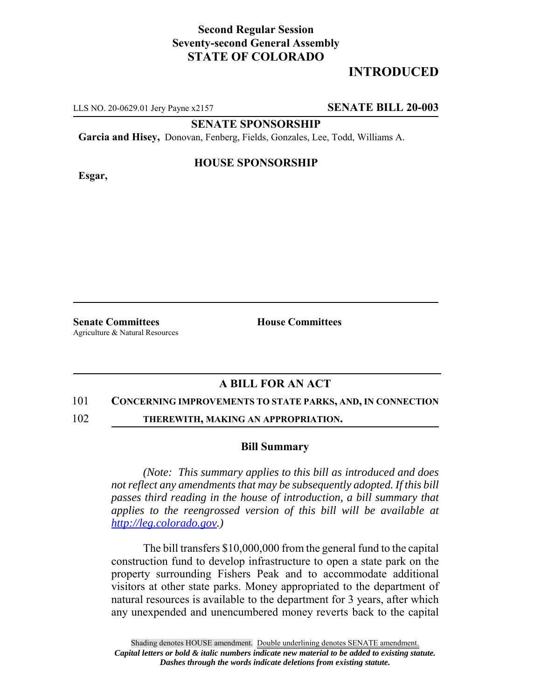# **Second Regular Session Seventy-second General Assembly STATE OF COLORADO**

# **INTRODUCED**

LLS NO. 20-0629.01 Jery Payne x2157 **SENATE BILL 20-003**

**SENATE SPONSORSHIP**

**Garcia and Hisey,** Donovan, Fenberg, Fields, Gonzales, Lee, Todd, Williams A.

**Esgar,**

## **HOUSE SPONSORSHIP**

**Senate Committees House Committees** Agriculture & Natural Resources

## **A BILL FOR AN ACT**

### 101 **CONCERNING IMPROVEMENTS TO STATE PARKS, AND, IN CONNECTION**

102 **THEREWITH, MAKING AN APPROPRIATION.**

#### **Bill Summary**

*(Note: This summary applies to this bill as introduced and does not reflect any amendments that may be subsequently adopted. If this bill passes third reading in the house of introduction, a bill summary that applies to the reengrossed version of this bill will be available at http://leg.colorado.gov.)*

The bill transfers \$10,000,000 from the general fund to the capital construction fund to develop infrastructure to open a state park on the property surrounding Fishers Peak and to accommodate additional visitors at other state parks. Money appropriated to the department of natural resources is available to the department for 3 years, after which any unexpended and unencumbered money reverts back to the capital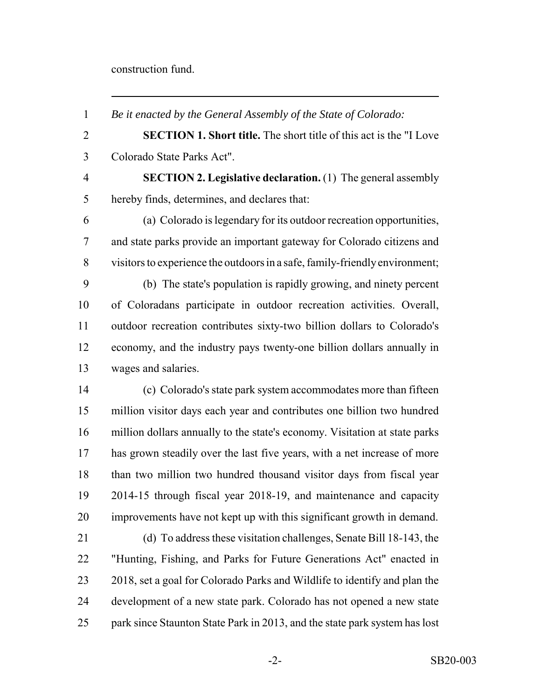construction fund.

 *Be it enacted by the General Assembly of the State of Colorado:* **SECTION 1. Short title.** The short title of this act is the "I Love Colorado State Parks Act". **SECTION 2. Legislative declaration.** (1) The general assembly hereby finds, determines, and declares that: (a) Colorado is legendary for its outdoor recreation opportunities, and state parks provide an important gateway for Colorado citizens and visitors to experience the outdoors in a safe, family-friendly environment; (b) The state's population is rapidly growing, and ninety percent of Coloradans participate in outdoor recreation activities. Overall, outdoor recreation contributes sixty-two billion dollars to Colorado's economy, and the industry pays twenty-one billion dollars annually in wages and salaries. (c) Colorado's state park system accommodates more than fifteen million visitor days each year and contributes one billion two hundred million dollars annually to the state's economy. Visitation at state parks has grown steadily over the last five years, with a net increase of more than two million two hundred thousand visitor days from fiscal year 2014-15 through fiscal year 2018-19, and maintenance and capacity improvements have not kept up with this significant growth in demand. (d) To address these visitation challenges, Senate Bill 18-143, the "Hunting, Fishing, and Parks for Future Generations Act" enacted in 2018, set a goal for Colorado Parks and Wildlife to identify and plan the development of a new state park. Colorado has not opened a new state park since Staunton State Park in 2013, and the state park system has lost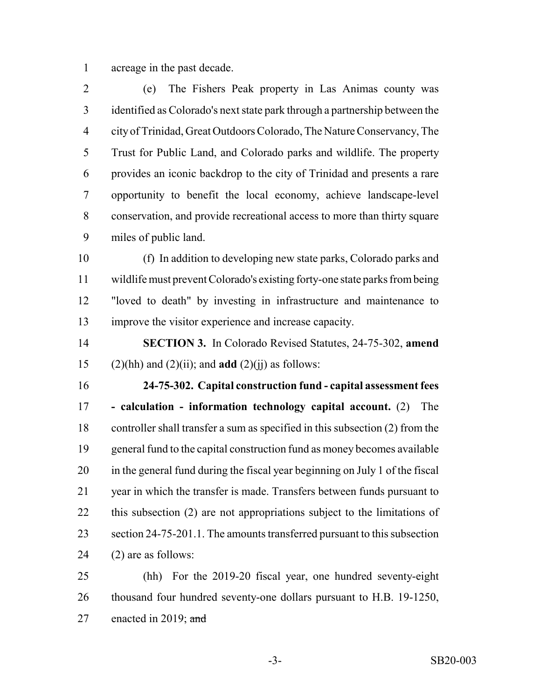acreage in the past decade.

 (e) The Fishers Peak property in Las Animas county was identified as Colorado's next state park through a partnership between the city of Trinidad, Great Outdoors Colorado, The Nature Conservancy, The Trust for Public Land, and Colorado parks and wildlife. The property provides an iconic backdrop to the city of Trinidad and presents a rare opportunity to benefit the local economy, achieve landscape-level conservation, and provide recreational access to more than thirty square miles of public land.

 (f) In addition to developing new state parks, Colorado parks and wildlife must prevent Colorado's existing forty-one state parks from being "loved to death" by investing in infrastructure and maintenance to improve the visitor experience and increase capacity.

 **SECTION 3.** In Colorado Revised Statutes, 24-75-302, **amend** 15 (2)(hh) and (2)(ii); and **add** (2)(ii) as follows:

 **24-75-302. Capital construction fund - capital assessment fees - calculation - information technology capital account.** (2) The controller shall transfer a sum as specified in this subsection (2) from the general fund to the capital construction fund as money becomes available in the general fund during the fiscal year beginning on July 1 of the fiscal year in which the transfer is made. Transfers between funds pursuant to this subsection (2) are not appropriations subject to the limitations of 23 section 24-75-201.1. The amounts transferred pursuant to this subsection (2) are as follows:

 (hh) For the 2019-20 fiscal year, one hundred seventy-eight thousand four hundred seventy-one dollars pursuant to H.B. 19-1250, 27 enacted in 2019;  $\frac{1}{\text{and}}$